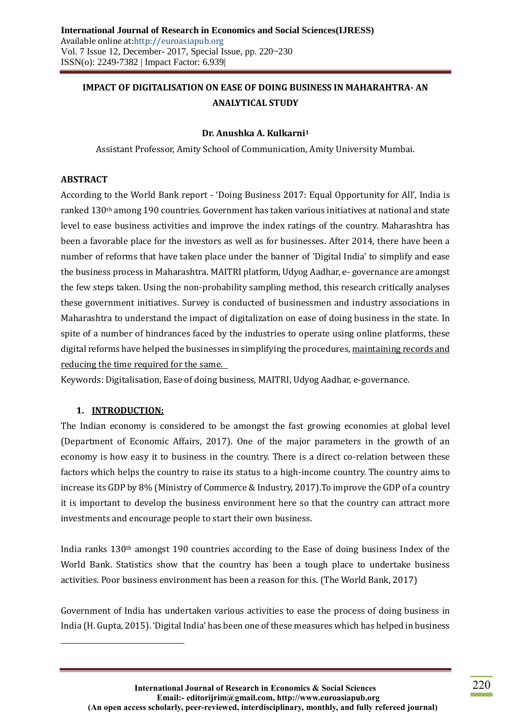# **IMPACT OF DIGITALISATION ON EASE OF DOING BUSINESS IN MAHARAHTRA- AN ANALYTICAL STUDY**

#### **Dr. Anushka A. Kulkarni<sup>1</sup>**

Assistant Professor, Amity School of Communication, Amity University Mumbai.

#### **ABSTRACT**

According to the World Bank report - 'Doing Business 2017: Equal Opportunity for All', India is ranked 130th among 190 countries. Government has taken various initiatives at national and state level to ease business activities and improve the index ratings of the country. Maharashtra has been a favorable place for the investors as well as for businesses. After 2014, there have been a number of reforms that have taken place under the banner of 'Digital India' to simplify and ease the business process in Maharashtra. MAITRI platform, Udyog Aadhar, e- governance are amongst the few steps taken. Using the non-probability sampling method, this research critically analyses these government initiatives. Survey is conducted of businessmen and industry associations in Maharashtra to understand the impact of digitalization on ease of doing business in the state. In spite of a number of hindrances faced by the industries to operate using online platforms, these digital reforms have helped the businesses in simplifying the procedures, maintaining records and reducing the time required for the same.

Keywords: Digitalisation, Ease of doing business, MAITRI, Udyog Aadhar, e-governance.

#### **1. INTRODUCTION:**

 $\overline{a}$ 

The Indian economy is considered to be amongst the fast growing economies at global level (Department of Economic Affairs, 2017). One of the major parameters in the growth of an economy is how easy it to business in the country. There is a direct co-relation between these factors which helps the country to raise its status to a high-income country. The country aims to increase its GDP by 8% (Ministry of Commerce & Industry, 2017).To improve the GDP of a country it is important to develop the business environment here so that the country can attract more investments and encourage people to start their own business.

India ranks 130th amongst 190 countries according to the Ease of doing business Index of the World Bank. Statistics show that the country has been a tough place to undertake business activities. Poor business environment has been a reason for this. (The World Bank, 2017)

Government of India has undertaken various activities to ease the process of doing business in India (H. Gupta, 2015). 'Digital India' has been one of these measures which has helped in business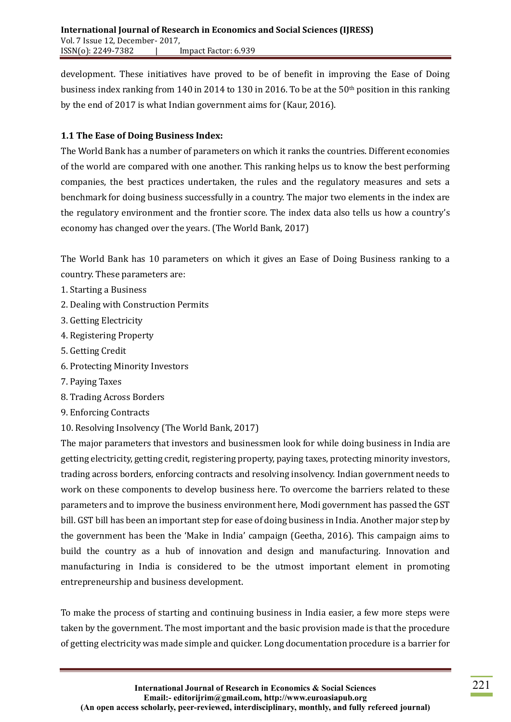development. These initiatives have proved to be of benefit in improving the Ease of Doing business index ranking from 140in 2014 to 130 in 2016. To be at the 50th position in this ranking by the end of 2017 is what Indian government aims for (Kaur, 2016).

### **1.1 The Ease of Doing Business Index:**

The World Bank has a number of parameters on which it ranks the countries. Different economies of the world are compared with one another. This ranking helps us to know the best performing companies, the best practices undertaken, the rules and the regulatory measures and sets a benchmark for doing business successfully in a country. The major two elements in the index are the regulatory environment and the frontier score. The index data also tells us how a country's economy has changed over the years. (The World Bank, 2017)

The World Bank has 10 parameters on which it gives an Ease of Doing Business ranking to a country. These parameters are:

- 1. Starting a Business
- 2. Dealing with Construction Permits
- 3. Getting Electricity
- 4. Registering Property
- 5. Getting Credit
- 6. Protecting Minority Investors
- 7. Paying Taxes
- 8. Trading Across Borders
- 9. Enforcing Contracts
- 10. Resolving Insolvency (The World Bank, 2017)

The major parameters that investors and businessmen look for while doing business in India are getting electricity, getting credit, registering property, paying taxes, protecting minority investors, trading across borders, enforcing contracts and resolving insolvency. Indian government needs to work on these components to develop business here. To overcome the barriers related to these parameters and to improve the business environment here, Modi government has passed the GST bill. GST bill has been an important step for ease of doing business in India. Another major step by the government has been the 'Make in India' campaign (Geetha, 2016). This campaign aims to build the country as a hub of innovation and design and manufacturing. Innovation and manufacturing in India is considered to be the utmost important element in promoting entrepreneurship and business development.

To make the process of starting and continuing business in India easier, a few more steps were taken by the government. The most important and the basic provision made is that the procedure of getting electricity was made simple and quicker. Long documentation procedure is a barrier for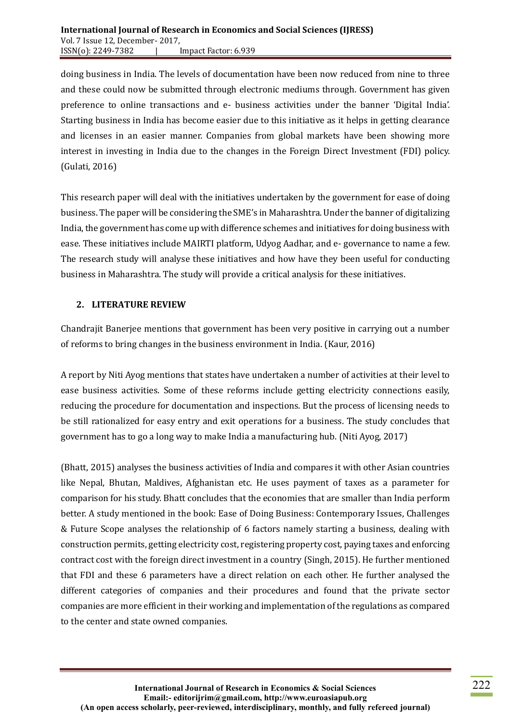doing business in India. The levels of documentation have been now reduced from nine to three and these could now be submitted through electronic mediums through. Government has given preference to online transactions and e- business activities under the banner 'Digital India'. Starting business in India has become easier due to this initiative as it helps in getting clearance and licenses in an easier manner. Companies from global markets have been showing more interest in investing in India due to the changes in the Foreign Direct Investment (FDI) policy. (Gulati, 2016)

This research paper will deal with the initiatives undertaken by the government for ease of doing business. The paper will be considering the SME's in Maharashtra. Under the banner of digitalizing India, the government has come up with difference schemes and initiatives for doing business with ease. These initiatives include MAIRTI platform, Udyog Aadhar, and e- governance to name a few. The research study will analyse these initiatives and how have they been useful for conducting business in Maharashtra. The study will provide a critical analysis for these initiatives.

#### **2. LITERATURE REVIEW**

Chandrajit Banerjee mentions that government has been very positive in carrying out a number of reforms to bring changes in the business environment in India. (Kaur, 2016)

A report by Niti Ayog mentions that states have undertaken a number of activities at their level to ease business activities. Some of these reforms include getting electricity connections easily, reducing the procedure for documentation and inspections. But the process of licensing needs to be still rationalized for easy entry and exit operations for a business. The study concludes that government has to go a long way to make India a manufacturing hub. (Niti Ayog, 2017)

(Bhatt, 2015) analyses the business activities of India and compares it with other Asian countries like Nepal, Bhutan, Maldives, Afghanistan etc. He uses payment of taxes as a parameter for comparison for his study. Bhatt concludes that the economies that are smaller than India perform better. A study mentioned in the book: Ease of Doing Business: Contemporary Issues, Challenges & Future Scope analyses the relationship of 6 factors namely starting a business, dealing with construction permits, getting electricity cost, registering property cost, paying taxes and enforcing contract cost with the foreign direct investment in a country (Singh, 2015). He further mentioned that FDI and these 6 parameters have a direct relation on each other. He further analysed the different categories of companies and their procedures and found that the private sector companies are more efficient in their working and implementation of the regulations as compared to the center and state owned companies.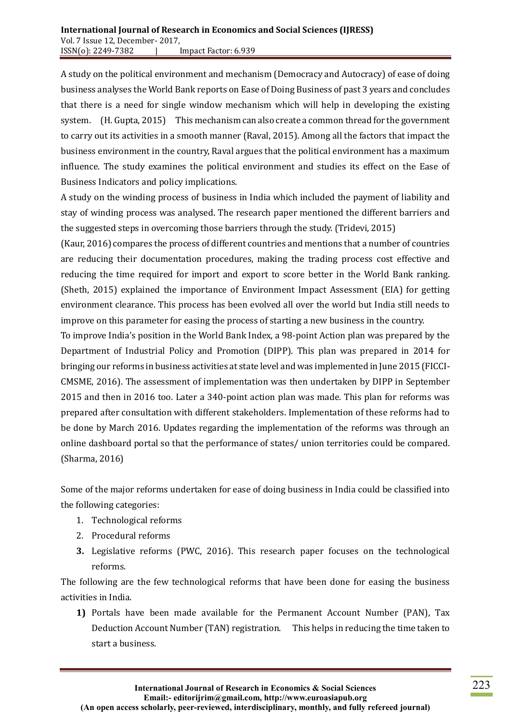A study on the political environment and mechanism (Democracy and Autocracy) of ease of doing business analyses the World Bank reports on Ease of Doing Business of past 3 years and concludes that there is a need for single window mechanism which will help in developing the existing system. (H. Gupta, 2015) This mechanism can also create a common thread for the government to carry out its activities in a smooth manner (Raval, 2015). Among all the factors that impact the business environment in the country, Raval argues that the political environment has a maximum influence. The study examines the political environment and studies its effect on the Ease of Business Indicators and policy implications.

A study on the winding process of business in India which included the payment of liability and stay of winding process was analysed. The research paper mentioned the different barriers and the suggested steps in overcoming those barriers through the study. (Tridevi, 2015)

(Kaur, 2016) compares the process of different countries and mentions that a number of countries are reducing their documentation procedures, making the trading process cost effective and reducing the time required for import and export to score better in the World Bank ranking. (Sheth, 2015) explained the importance of Environment Impact Assessment (EIA) for getting environment clearance. This process has been evolved all over the world but India still needs to improve on this parameter for easing the process of starting a new business in the country.

To improve India's position in the World Bank Index, a 98-point Action plan was prepared by the Department of Industrial Policy and Promotion (DIPP). This plan was prepared in 2014 for bringing our reforms in business activities at state level and was implemented in June 2015 (FICCI-CMSME, 2016). The assessment of implementation was then undertaken by DIPP in September 2015 and then in 2016 too. Later a 340-point action plan was made. This plan for reforms was prepared after consultation with different stakeholders. Implementation of these reforms had to be done by March 2016. Updates regarding the implementation of the reforms was through an online dashboard portal so that the performance of states/ union territories could be compared. (Sharma, 2016)

Some of the major reforms undertaken for ease of doing business in India could be classified into the following categories:

- 1. Technological reforms
- 2. Procedural reforms
- **3.** Legislative reforms (PWC, 2016). This research paper focuses on the technological reforms.

The following are the few technological reforms that have been done for easing the business activities in India.

**1)** Portals have been made available for the Permanent Account Number (PAN), Tax Deduction Account Number (TAN) registration. This helps in reducing the time taken to start a business.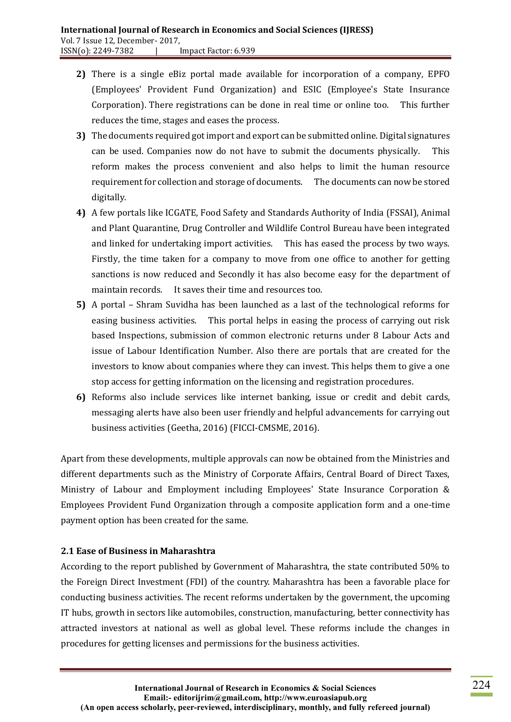- **2)** There is a single eBiz portal made available for incorporation of a company, EPFO (Employees' Provident Fund Organization) and ESIC (Employee's State Insurance Corporation). There registrations can be done in real time or online too. This further reduces the time, stages and eases the process.
- **3)** The documents required got import and export can be submitted online. Digital signatures can be used. Companies now do not have to submit the documents physically. This reform makes the process convenient and also helps to limit the human resource requirement for collection and storage of documents. The documents can now be stored digitally.
- **4)** A few portals like ICGATE, Food Safety and Standards Authority of India (FSSAI), Animal and Plant Quarantine, Drug Controller and Wildlife Control Bureau have been integrated and linked for undertaking import activities. This has eased the process by two ways. Firstly, the time taken for a company to move from one office to another for getting sanctions is now reduced and Secondly it has also become easy for the department of maintain records. It saves their time and resources too.
- **5)** A portal Shram Suvidha has been launched as a last of the technological reforms for easing business activities. This portal helps in easing the process of carrying out risk based Inspections, submission of common electronic returns under 8 Labour Acts and issue of Labour Identification Number. Also there are portals that are created for the investors to know about companies where they can invest. This helps them to give a one stop access for getting information on the licensing and registration procedures.
- **6)** Reforms also include services like internet banking, issue or credit and debit cards, messaging alerts have also been user friendly and helpful advancements for carrying out business activities (Geetha, 2016) (FICCI-CMSME, 2016).

Apart from these developments, multiple approvals can now be obtained from the Ministries and different departments such as the Ministry of Corporate Affairs, Central Board of Direct Taxes, Ministry of Labour and Employment including Employees' State Insurance Corporation & Employees Provident Fund Organization through a composite application form and a one-time payment option has been created for the same.

# **2.1 Ease of Business in Maharashtra**

According to the report published by Government of Maharashtra, the state contributed 50% to the Foreign Direct Investment (FDI) of the country. Maharashtra has been a favorable place for conducting business activities. The recent reforms undertaken by the government, the upcoming IT hubs, growth in sectors like automobiles, construction, manufacturing, better connectivity has attracted investors at national as well as global level. These reforms include the changes in procedures for getting licenses and permissions for the business activities.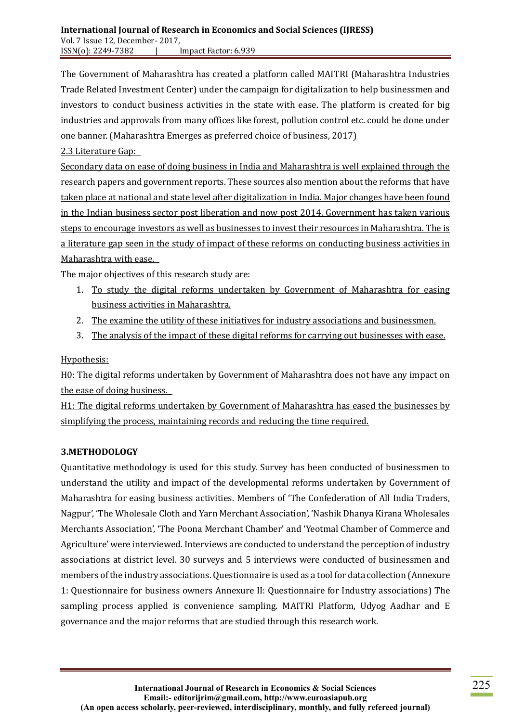The Government of Maharashtra has created a platform called MAITRI (Maharashtra Industries Trade Related Investment Center) under the campaign for digitalization to help businessmen and investors to conduct business activities in the state with ease. The platform is created for big industries and approvals from many offices like forest, pollution control etc. could be done under one banner. (Maharashtra Emerges as preferred choice of business, 2017)

2.3 Literature Gap:

Secondary data on ease of doing business in India and Maharashtra is well explained through the research papers and government reports. These sources also mention about the reforms that have taken place at national and state level after digitalization in India. Major changes have been found in the Indian business sector post liberation and now post 2014. Government has taken various steps to encourage investors as well as businesses to invest their resources in Maharashtra. The is a literature gap seen in the study of impact of these reforms on conducting business activities in Maharashtra with ease.

The major objectives of this research study are:

- 1. To study the digital reforms undertaken by Government of Maharashtra for easing business activities in Maharashtra.
- 2. The examine the utility of these initiatives for industry associations and businessmen.
- 3. The analysis of the impact of these digital reforms for carrying out businesses with ease.

Hypothesis:

H0: The digital reforms undertaken by Government of Maharashtra does not have any impact on the ease of doing business.

H1: The digital reforms undertaken by Government of Maharashtra has eased the businesses by simplifying the process, maintaining records and reducing the time required.

# **3.METHODOLOGY**

Quantitative methodology is used for this study. Survey has been conducted of businessmen to understand the utility and impact of the developmental reforms undertaken by Government of Maharashtra for easing business activities. Members of 'The Confederation of All India Traders, Nagpur', 'The Wholesale Cloth and Yarn Merchant Association', 'Nashik Dhanya Kirana Wholesales Merchants Association', 'The Poona Merchant Chamber' and 'Yeotmal Chamber of Commerce and Agriculture' were interviewed. Interviews are conducted to understand the perception of industry associations at district level. 30 surveys and 5 interviews were conducted of businessmen and members of the industry associations. Questionnaire is used as a tool for data collection (Annexure 1: Questionnaire for business owners Annexure II: Questionnaire for Industry associations) The sampling process applied is convenience sampling. MAITRI Platform, Udyog Aadhar and E governance and the major reforms that are studied through this research work.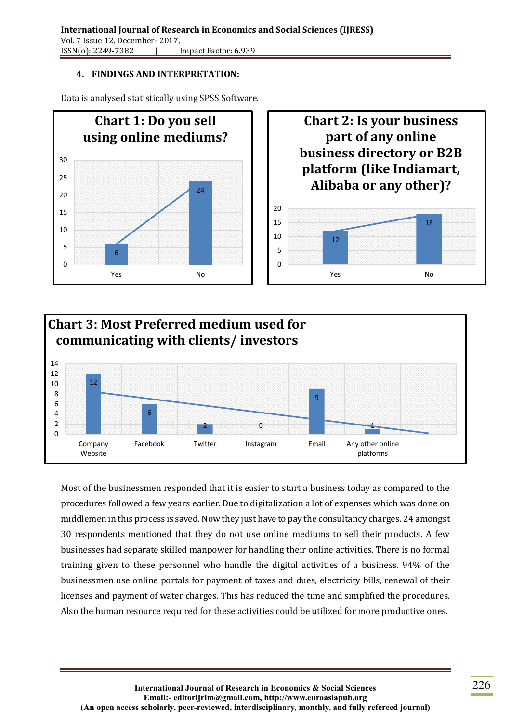# **4. FINDINGS AND INTERPRETATION:**







Most of the businessmen responded that it is easier to start a business today as compared to the procedures followed a few years earlier. Due to digitalization a lot of expenses which was done on middlemen in this process is saved. Now they just have to pay the consultancy charges. 24 amongst 30 respondents mentioned that they do not use online mediums to sell their products. A few businesses had separate skilled manpower for handling their online activities. There is no formal training given to these personnel who handle the digital activities of a business. 94% of the businessmen use online portals for payment of taxes and dues, electricity bills, renewal of their licenses and payment of water charges. This has reduced the time and simplified the procedures. Also the human resource required for these activities could be utilized for more productive ones.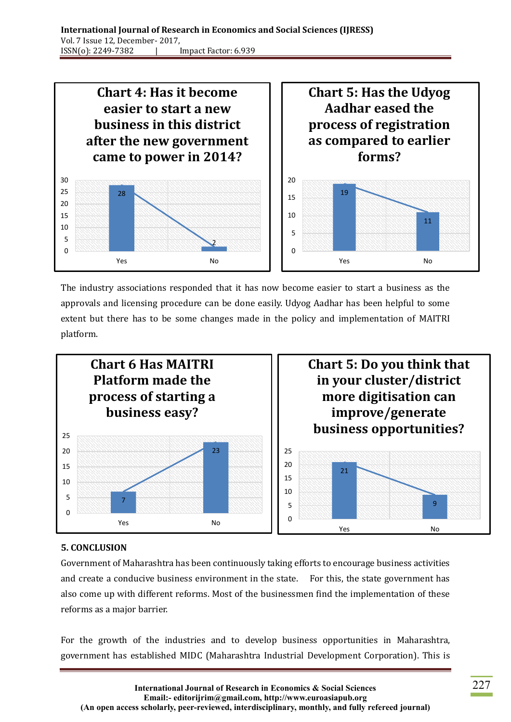

The industry associations responded that it has now become easier to start a business as the approvals and licensing procedure can be done easily. Udyog Aadhar has been helpful to some extent but there has to be some changes made in the policy and implementation of MAITRI platform.



# **5. CONCLUSION**

Government of Maharashtra has been continuously taking efforts to encourage business activities and create a conducive business environment in the state. For this, the state government has also come up with different reforms. Most of the businessmen find the implementation of these reforms as a major barrier.

For the growth of the industries and to develop business opportunities in Maharashtra, government has established MIDC (Maharashtra Industrial Development Corporation). This is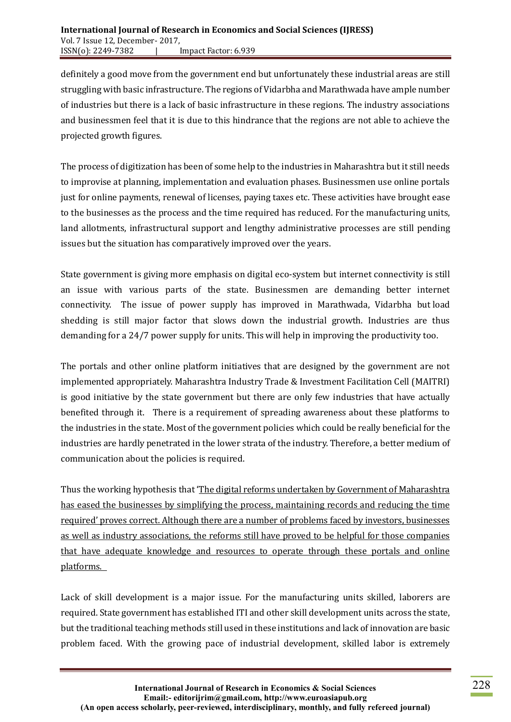definitely a good move from the government end but unfortunately these industrial areas are still struggling with basic infrastructure. The regions of Vidarbha and Marathwada have ample number of industries but there is a lack of basic infrastructure in these regions. The industry associations and businessmen feel that it is due to this hindrance that the regions are not able to achieve the projected growth figures.

The process of digitization has been of some help to the industries in Maharashtra but it still needs to improvise at planning, implementation and evaluation phases. Businessmen use online portals just for online payments, renewal of licenses, paying taxes etc. These activities have brought ease to the businesses as the process and the time required has reduced. For the manufacturing units, land allotments, infrastructural support and lengthy administrative processes are still pending issues but the situation has comparatively improved over the years.

State government is giving more emphasis on digital eco-system but internet connectivity is still an issue with various parts of the state. Businessmen are demanding better internet connectivity. The issue of power supply has improved in Marathwada, Vidarbha but load shedding is still major factor that slows down the industrial growth. Industries are thus demanding for a 24/7 power supply for units. This will help in improving the productivity too.

The portals and other online platform initiatives that are designed by the government are not implemented appropriately. Maharashtra Industry Trade & Investment Facilitation Cell (MAITRI) is good initiative by the state government but there are only few industries that have actually benefited through it. There is a requirement of spreading awareness about these platforms to the industries in the state. Most of the government policies which could be really beneficial for the industries are hardly penetrated in the lower strata of the industry. Therefore, a better medium of communication about the policies is required.

Thus the working hypothesis that 'The digital reforms undertaken by Government of Maharashtra has eased the businesses by simplifying the process, maintaining records and reducing the time required' proves correct. Although there are a number of problems faced by investors, businesses as well as industry associations, the reforms still have proved to be helpful for those companies that have adequate knowledge and resources to operate through these portals and online platforms.

Lack of skill development is a major issue. For the manufacturing units skilled, laborers are required. State government has established ITI and other skill development units across the state, but the traditional teaching methods still used in these institutions and lack of innovation are basic problem faced. With the growing pace of industrial development, skilled labor is extremely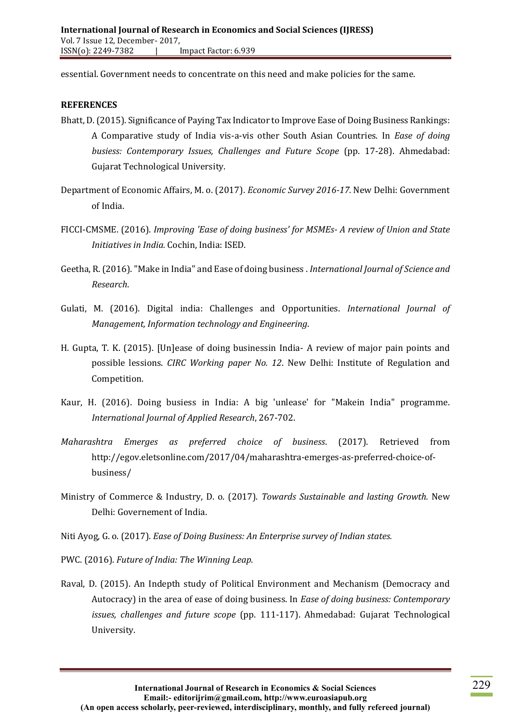essential. Government needs to concentrate on this need and make policies for the same.

#### **REFERENCES**

- Bhatt, D. (2015). Significance of Paying Tax Indicator to Improve Ease of Doing Business Rankings: A Comparative study of India vis-a-vis other South Asian Countries. In *Ease of doing busiess: Contemporary Issues, Challenges and Future Scope* (pp. 17-28). Ahmedabad: Gujarat Technological University.
- Department of Economic Affairs, M. o. (2017). *Economic Survey 2016-17.* New Delhi: Government of India.
- FICCI-CMSME. (2016). *Improving 'Ease of doing business' for MSMEs- A review of Union and State Initiatives in India.* Cochin, India: ISED.
- Geetha, R. (2016). "Make in India" and Ease of doing business . *International Journal of Science and Research*.
- Gulati, M. (2016). Digital india: Challenges and Opportunities. *International Journal of Management, Information technology and Engineering*.
- H. Gupta, T. K. (2015). [Un]ease of doing businessin India- A review of major pain points and possible lessions. *CIRC Working paper No. 12*. New Delhi: Institute of Regulation and Competition.
- Kaur, H. (2016). Doing busiess in India: A big 'unlease' for "Makein India" programme. *International Journal of Applied Research*, 267-702.
- *Maharashtra Emerges as preferred choice of business*. (2017). Retrieved from http://egov.eletsonline.com/2017/04/maharashtra-emerges-as-preferred-choice-ofbusiness/
- Ministry of Commerce & Industry, D. o. (2017). *Towards Sustainable and lasting Growth.* New Delhi: Governement of India.
- Niti Ayog, G. o. (2017). *Ease of Doing Business: An Enterprise survey of Indian states.*
- PWC. (2016). *Future of India: The Winning Leap.*
- Raval, D. (2015). An Indepth study of Political Environment and Mechanism (Democracy and Autocracy) in the area of ease of doing business. In *Ease of doing business: Contemporary issues, challenges and future scope* (pp. 111-117). Ahmedabad: Gujarat Technological University.